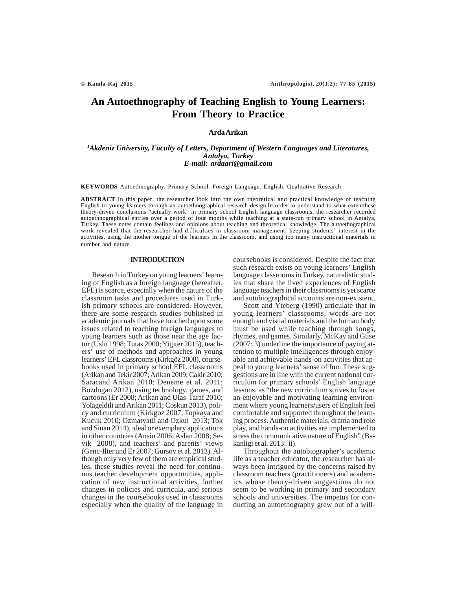# **An Autoethnography of Teaching English to Young Learners: From Theory to Practice**

# **Arda Arikan**

# *1 Akdeniz University, Faculty of Letters, Department of Western Languages and Literatures, Antalya, Turkey E-mail: ardaari@gmail.com*

**KEYWORDS** Autoethnography. Primary School. Foreign Language. English. Qualitative Research

**ABSTRACT** In this paper, the researcher look into the own theoretical and practical knowledge of teaching English to young learners through an autoethnographical research design.In order to understand to what extentthese theory-driven conclusions "actually work" in primary school English language classrooms, the researcher recorded autoethnographical entries over a period of four months while teaching at a state-run primary school in Antalya, Turkey. These notes contain feelings and opinions about teaching and theoretical knowledge. The autoethographical work revealed that the researcher had difficulties in classroom management, keeping students' interest in the activities, using the mother tongue of the learners in the classroom, and using too many instructional materials in number and nature.

#### **INTRODUCTION**

Research in Turkey on young learners' learning of English as a foreign language (hereafter, EFL) is scarce, especially when the nature of the classroom tasks and procedures used in Turkish primary schools are considered. However, there are some research studies published in academic journals that have touched upon some issues related to teaching foreign languages to young learners such as those near the age factor (Uslu 1998; Tutas 2000; Yigiter 2015), teachers' use of methods and approaches in young learners' EFL classrooms (Kirkgöz 2008), coursebooks used in primary school EFL classrooms (Arikan and Tekir 2007; Arikan 2009; Cakir 2010; Saracand Arikan 2010; Deneme et al. 2011; Bozdogan 2012), using technology, games, and cartoons (Er 2008; Arikan and Ulas-Taraf 2010; Yolageldili and Arikan 2011; Coskun 2013), policy and curriculum (Kirkgoz 2007; Topkaya and Kucuk 2010; Ozmatyatli and Ozkul 2013; Tok and Sinan 2014), ideal or exemplary applications in other countries (Ansin 2006; Aslan 2008; Sevik 2008), and teachers' and parents' views (Genc-Ilter and Er 2007; Gursoy et al. 2013). Although only very few of them are empirical studies, these studies reveal the need for continuous teacher development opportunities, application of new instructional activities, further changes in policies and curricula, and serious changes in the coursebooks used in classrooms especially when the quality of the language in coursebooks is considered. Despite the fact that such research exists on young learners' English language classrooms in Turkey, naturalistic studies that share the lived experiences of English language teachers in their classrooms is yet scarce and autobiographical accounts are non-existent.

Scott and Yteberg (1990) articulate that in young learners' classrooms, words are not enough and visual materials and the human body must be used while teaching through songs, rhymes, and games. Similarly, McKay and Guse (2007: 3) underline the importance of paying attention to multiple intelligences through enjoyable and achievable hands-on activities that appeal to young learners' sense of fun. These suggestions are in line with the current national curriculum for primary schools' English language lessons, as "the new curriculum strives to foster an enjoyable and motivating learning environment where young learners/users of English feel comfortable and supported throughout the learning process. Authentic materials, drama and role play, and hands-on activities are implemented to stress the communicative nature of English" (Bakanligi et al. 2013: ii).

Throughout the autobiographer's academic life as a teacher educator, the researcher has always been intrigued by the concerns raised by classroom teachers (practitioners) and academics whose theory-driven suggestions do not seem to be working in primary and secondary schools and universities. The impetus for conducting an autoethography grew out of a will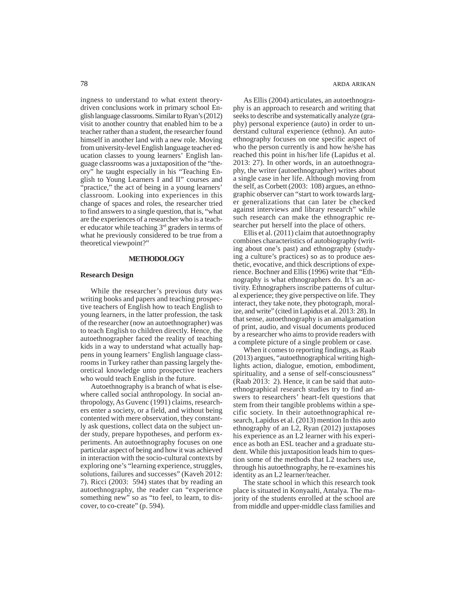ingness to understand to what extent theorydriven conclusions work in primary school English language classrooms. Similar to Ryan's (2012) visit to another country that enabled him to be a teacher rather than a student, the researcher found himself in another land with a new role. Moving from university-level English language teacher education classes to young learners' English language classrooms was a juxtaposition of the "theory" he taught especially in his "Teaching English to Young Learners I and II" courses and "practice," the act of being in a young learners" classroom. Looking into experiences in this change of spaces and roles, the researcher tried to find answers to a single question, that is, "what are the experiences of a researcher who is a teacher educator while teaching 3rd graders in terms of what he previously considered to be true from a theoretical viewpoint?"

### **METHODOLOGY**

## **Research Design**

While the researcher's previous duty was writing books and papers and teaching prospective teachers of English how to teach English to young learners, in the latter profession, the task of the researcher (now an autoethnographer) was to teach English to children directly. Hence, the autoethnographer faced the reality of teaching kids in a way to understand what actually happens in young learners' English language classrooms in Turkey rather than passing largely theoretical knowledge unto prospective teachers who would teach English in the future.

Autoethnography is a branch of what is elsewhere called social anthropology. In social anthropology, As Guvenc (1991) claims, researchers enter a society, or a field, and without being contented with mere observation, they constantly ask questions, collect data on the subject under study, prepare hypotheses, and perform experiments. An autoethnography focuses on one particular aspect of being and how it was achieved in interaction with the socio-cultural contexts by exploring one's "learning experience, struggles, solutions, failures and successes" (Kaveh 2012: 7). Ricci (2003: 594) states that by reading an autoethnography, the reader can "experience something new" so as "to feel, to learn, to discover, to co-create" (p. 594).

78 ARDA ARIKAN

As Ellis (2004) articulates, an autoethnography is an approach to research and writing that seeks to describe and systematically analyze (graphy) personal experience (auto) in order to understand cultural experience (ethno). An autoethnography focuses on one specific aspect of who the person currently is and how he/she has reached this point in his/her life (Lapidus et al. 2013: 27). In other words, in an autoethnography, the writer (autoethnographer) writes about a single case in her life. Although moving from the self, as Corbett (2003: 108) argues, an ethnographic observer can "start to work towards larger generalizations that can later be checked against interviews and library research" while such research can make the ethnographic researcher put herself into the place of others.

Ellis et al. (2011) claim that autoethnography combines characteristics of autobiography (writing about one's past) and ethnography (studying a culture's practices) so as to produce aesthetic, evocative, and thick descriptions of experience. Bochner and Ellis (1996) write that "Ethnography is what ethnographers do. It's an activity. Ethnographers inscribe patterns of cultural experience; they give perspective on life. They interact, they take note, they photograph, moralize, and write" (cited in Lapidus et al. 2013: 28). In that sense, autoethnography is an amalgamation of print, audio, and visual documents produced by a researcher who aims to provide readers with a complete picture of a single problem or case.

When it comes to reporting findings, as Raab (2013) argues, "autoethnographical writing highlights action, dialogue, emotion, embodiment, spirituality, and a sense of self-consciousness" (Raab 2013: 2). Hence, it can be said that autoethnographical research studies try to find answers to researchers' heart-felt questions that stem from their tangible problems within a specific society. In their autoethnographical research, Lapidus et al. (2013) mention In this auto ethnography of an L2, Ryan (2012) juxtaposes his experience as an L2 learner with his experience as both an ESL teacher and a graduate student. While this juxtaposition leads him to question some of the methods that L2 teachers use, through his autoethnography, he re-examines his identity as an L2 learner/teacher.

The state school in which this research took place is situated in Konyaalti, Antalya. The majority of the students enrolled at the school are from middle and upper-middle class families and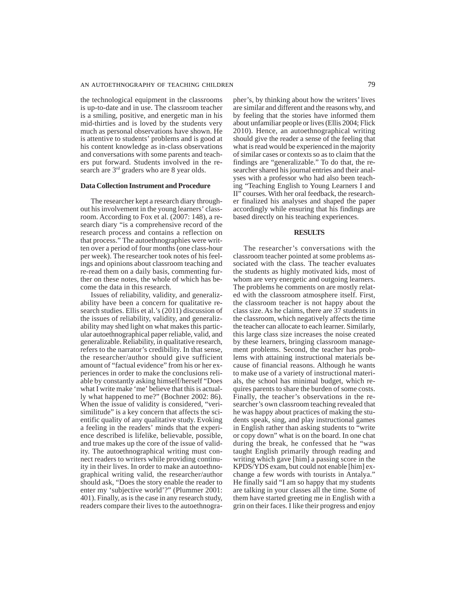the technological equipment in the classrooms is up-to-date and in use. The classroom teacher is a smiling, positive, and energetic man in his mid-thirties and is loved by the students very much as personal observations have shown. He is attentive to students' problems and is good at his content knowledge as in-class observations and conversations with some parents and teachers put forward. Students involved in the research are  $3<sup>rd</sup>$  graders who are 8 year olds.

### **Data Collection Instrument and Procedure**

The researcher kept a research diary throughout his involvement in the young learners' classroom. According to Fox et al. (2007: 148), a research diary "is a comprehensive record of the research process and contains a reflection on that process." The autoethnographies were written over a period of four months (one class-hour per week). The researcher took notes of his feelings and opinions about classroom teaching and re-read them on a daily basis, commenting further on these notes, the whole of which has become the data in this research.

Issues of reliability, validity, and generalizability have been a concern for qualitative research studies. Ellis et al.'s (2011) discussion of the issues of reliability, validity, and generalizability may shed light on what makes this particular autoethnographical paper reliable, valid, and generalizable. Reliability, in qualitative research, refers to the narrator's credibility. In that sense, the researcher/author should give sufficient amount of "factual evidence" from his or her experiences in order to make the conclusions reliable by constantly asking himself/herself "Does what I write make 'me' believe that this is actually what happened to me?" (Bochner 2002: 86). When the issue of validity is considered, "verisimilitude" is a key concern that affects the scientific quality of any qualitative study. Evoking a feeling in the readers' minds that the experience described is lifelike, believable, possible, and true makes up the core of the issue of validity. The autoethnographical writing must connect readers to writers while providing continuity in their lives. In order to make an autoethnographical writing valid, the researcher/author should ask, "Does the story enable the reader to enter my 'subjective world'?" (Plummer 2001: 401). Finally, as is the case in any research study, readers compare their lives to the autoethnographer's, by thinking about how the writers' lives are similar and different and the reasons why, and by feeling that the stories have informed them about unfamiliar people or lives (Ellis 2004; Flick 2010). Hence, an autoethnographical writing should give the reader a sense of the feeling that what is read would be experienced in the majority of similar cases or contexts so as to claim that the findings are "generalizable." To do that, the researcher shared his journal entries and their analyses with a professor who had also been teaching "Teaching English to Young Learners I and II" courses. With her oral feedback, the researcher finalized his analyses and shaped the paper accordingly while ensuring that his findings are based directly on his teaching experiences.

# **RESULTS**

The researcher's conversations with the classroom teacher pointed at some problems associated with the class. The teacher evaluates the students as highly motivated kids, most of whom are very energetic and outgoing learners. The problems he comments on are mostly related with the classroom atmosphere itself. First, the classroom teacher is not happy about the class size. As he claims, there are 37 students in the classroom, which negatively affects the time the teacher can allocate to each learner. Similarly, this large class size increases the noise created by these learners, bringing classroom management problems. Second, the teacher has problems with attaining instructional materials because of financial reasons. Although he wants to make use of a variety of instructional materials, the school has minimal budget, which requires parents to share the burden of some costs. Finally, the teacher's observations in the researcher's own classroom teaching revealed that he was happy about practices of making the students speak, sing, and play instructional games in English rather than asking students to "write or copy down" what is on the board. In one chat during the break, he confessed that he "was taught English primarily through reading and writing which gave [him] a passing score in the KPDS/YDS exam, but could not enable [him] exchange a few words with tourists in Antalya." He finally said "I am so happy that my students are talking in your classes all the time. Some of them have started greeting me in English with a grin on their faces. I like their progress and enjoy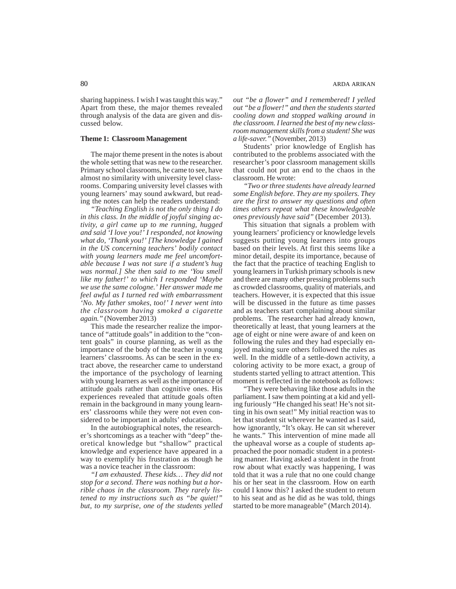sharing happiness. I wish I was taught this way." Apart from these, the major themes revealed through analysis of the data are given and discussed below.

# **Theme 1: Classroom Management**

The major theme present in the notes is about the whole setting that was new to the researcher. Primary school classrooms, he came to see, have almost no similarity with university level classrooms. Comparing university level classes with young learners' may sound awkward, but reading the notes can help the readers understand:

*"Teaching English is not the only thing I do in this class. In the middle of joyful singing activity, a girl came up to me running, hugged and said 'I love you!' I responded, not knowing what do, 'Thank you!' [The knowledge I gained in the US concerning teachers' bodily contact with young learners made me feel uncomfortable because I was not sure if a student's hug was normal.] She then said to me 'You smell like my father!' to which I responded 'Maybe we use the same cologne.' Her answer made me feel awful as I turned red with embarrassment 'No. My father smokes, too!' I never went into the classroom having smoked a cigarette again."* (November 2013)

This made the researcher realize the importance of "attitude goals" in addition to the "content goals" in course planning, as well as the importance of the body of the teacher in young learners' classrooms. As can be seen in the extract above, the researcher came to understand the importance of the psychology of learning with young learners as well as the importance of attitude goals rather than cognitive ones. His experiences revealed that attitude goals often remain in the background in many young learners' classrooms while they were not even considered to be important in adults' education.

In the autobiographical notes, the researcher's shortcomings as a teacher with "deep" theoretical knowledge but "shallow" practical knowledge and experience have appeared in a way to exemplify his frustration as though he was a novice teacher in the classroom:

*"I am exhausted. These kids… They did not stop for a second. There was nothing but a horrible chaos in the classroom. They rarely listened to my instructions such as "be quiet!" but, to my surprise, one of the students yelled* *out "be a flower" and I remembered! I yelled out "be a flower!" and then the students started cooling down and stopped walking around in the classroom. I learned the best of my new classroom management skills from a student! She was a life-saver."* (November, 2013)

Students' prior knowledge of English has contributed to the problems associated with the researcher's poor classroom management skills that could not put an end to the chaos in the classroom. He wrote:

*"Two or three students have already learned some English before. They are my spoilers. They are the first to answer my questions and often times others repeat what these knowledgeable ones previously have said"* (December 2013).

This situation that signals a problem with young learners' proficiency or knowledge levels suggests putting young learners into groups based on their levels. At first this seems like a minor detail, despite its importance, because of the fact that the practice of teaching English to young learners in Turkish primary schools is new and there are many other pressing problems such as crowded classrooms, quality of materials, and teachers. However, it is expected that this issue will be discussed in the future as time passes and as teachers start complaining about similar problems. The researcher had already known, theoretically at least, that young learners at the age of eight or nine were aware of and keen on following the rules and they had especially enjoyed making sure others followed the rules as well. In the middle of a settle-down activity, a coloring activity to be more exact, a group of students started yelling to attract attention. This moment is reflected in the notebook as follows:

"They were behaving like those adults in the parliament. I saw them pointing at a kid and yelling furiously "He changed his seat! He's not sitting in his own seat!" My initial reaction was to let that student sit wherever he wanted as I said, how ignorantly, "It's okay. He can sit wherever he wants." This intervention of mine made all the upheaval worse as a couple of students approached the poor nomadic student in a protesting manner. Having asked a student in the front row about what exactly was happening, I was told that it was a rule that no one could change his or her seat in the classroom. How on earth could I know this? I asked the student to return to his seat and as he did as he was told, things started to be more manageable" (March 2014).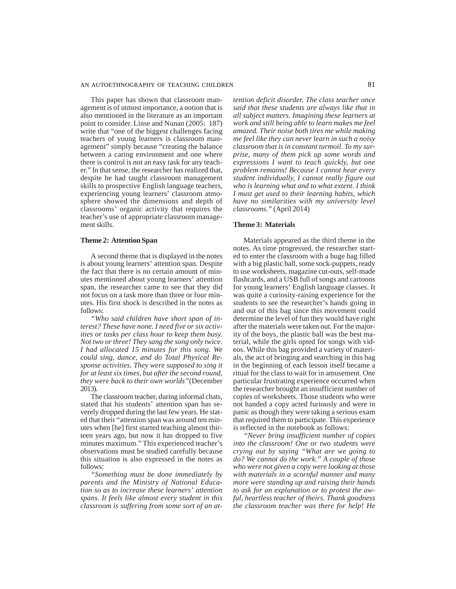### AN AUTOETHNOGRAPHY OF TEACHING CHILDREN 81

This paper has shown that classroom management is of utmost importance, a notion that is also mentioned in the literature as an important point to consider. Linse and Nunan (2005: 187) write that "one of the biggest challenges facing teachers of young learners is classroom management" simply because "creating the balance between a caring environment and one where there is control is not an easy task for any teacher." In that sense, the researcher has realized that, despite he had taught classroom management skills to prospective English language teachers, experiencing young learners' classroom atmosphere showed the dimensions and depth of classrooms' organic activity that requires the teacher's use of appropriate classroom management skills.

### **Theme 2: Attention Span**

A second theme that is displayed in the notes is about young learners' attention span. Despite the fact that there is no certain amount of minutes mentioned about young learners' attention span, the researcher came to see that they did not focus on a task more than three or four minutes. His first shock is described in the notes as follows:

*"Who said children have short span of interest? These have none. I need five or six activities or tasks per class hour to keep them busy. Not two or three! They sang the song only twice. I had allocated 15 minutes for this song. We could sing, dance, and do Total Physical Response activities. They were supposed to sing it for at least six times, but after the second round, they were back to their own worlds"*(December 2013).

The classroom teacher, during informal chats, stated that his students' attention span has severely dropped during the last few years. He stated that their "attention span was around ten minutes when [he] first started teaching almost thirteen years ago, but now it has dropped to five minutes maximum." This experienced teacher's observations must be studied carefully because this situation is also expressed in the notes as follows:

*"Something must be done immediately by parents and the Ministry of National Education so as to increase these learners' attention spans. It feels like almost every student in this classroom is suffering from some sort of an at-* *tention deficit disorder. The class teacher once said that these students are always like that in all subject matters. Imagining these learners at work and still being able to learn makes me feel amazed. Their noise both tires me while making me feel like they can never learn in such a noisy classroom that is in constant turmoil. To my surprise, many of them pick up some words and expressions I want to teach quickly, but one problem remains! Because I cannot hear every student individually, I cannot really figure out who is learning what and to what extent. I think I must get used to their learning habits, which have no similarities with my university level classrooms."* (April 2014)

# **Theme 3: Materials**

Materials appeared as the third theme in the notes. As time progressed, the researcher started to enter the classroom with a huge bag filled with a big plastic ball, some sock-puppets, ready to use worksheets, magazine cut-outs, self-made flashcards, and a USB full of songs and cartoons for young learners' English language classes. It was quite a curiosity-raising experience for the students to see the researcher's hands going in and out of this bag since this movement could determine the level of fun they would have right after the materials were taken out. For the majority of the boys, the plastic ball was the best material, while the girls opted for songs with videos. While this bag provided a variety of materials, the act of bringing and searching in this bag in the beginning of each lesson itself became a ritual for the class to wait for in amusement. One particular frustrating experience occurred when the researcher brought an insufficient number of copies of worksheets. Those students who were not handed a copy acted furiously and were in panic as though they were taking a serious exam that required them to participate. This experience is reflected in the notebook as follows:

*"Never bring insufficient number of copies into the classroom! One or two students were crying out by saying "What are we going to do? We cannot do the work." A couple of those who were not given a copy were looking at those with materials in a scornful manner and many more were standing up and raising their hands to ask for an explanation or to protest the awful, heartless teacher of theirs. Thank goodness the classroom teacher was there for help! He*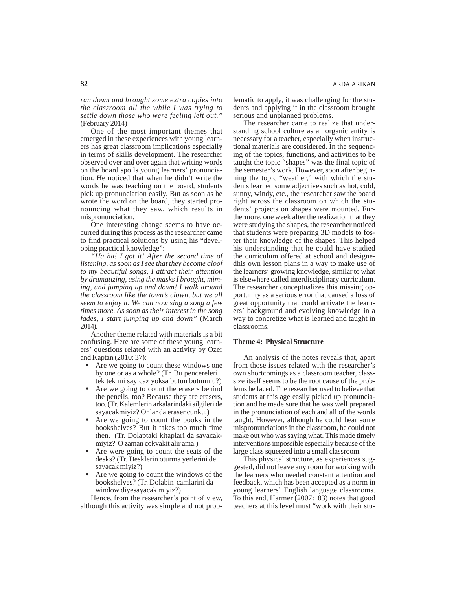*ran down and brought some extra copies into the classroom all the while I was trying to settle down those who were feeling left out."* (February 2014)

One of the most important themes that emerged in these experiences with young learners has great classroom implications especially in terms of skills development. The researcher observed over and over again that writing words on the board spoils young learners' pronunciation. He noticed that when he didn't write the words he was teaching on the board, students pick up pronunciation easily. But as soon as he wrote the word on the board, they started pronouncing what they saw, which results in mispronunciation.

One interesting change seems to have occurred during this process as the researcher came to find practical solutions by using his "developing practical knowledge":

*"Ha ha! I got it! After the second time of listening, as soon as I see that they become aloof to my beautiful songs, I attract their attention by dramatizing, using the masks I brought, miming, and jumping up and down! I walk around the classroom like the town's clown, but we all seem to enjoy it. We can now sing a song a few times more. As soon as their interest in the song fades, I start jumping up and down"* (March 2014).

Another theme related with materials is a bit confusing. Here are some of these young learners' questions related with an activity by Ozer and Kaptan (2010: 37):

- Are we going to count these windows one by one or as a whole? (Tr. Bu pencereleri tek tek mi sayicaz yoksa butun butunmu?)
- Are we going to count the erasers behind the pencils, too? Because they are erasers, too. (Tr. Kalemlerin arkalarindaki silgileri de sayacakmiyiz? Onlar da eraser cunku.)
- Are we going to count the books in the bookshelves? But it takes too much time then. (Tr. Dolaptaki kitaplari da sayacakmiyiz? O zaman çokvakit alir ama.)
- Are were going to count the seats of the desks? (Tr. Desklerin oturma yerlerini de sayacak miyiz?)
- Are we going to count the windows of the bookshelves? (Tr. Dolabin camlarini da window diyesayacak miyiz?)

Hence, from the researcher's point of view, although this activity was simple and not problematic to apply, it was challenging for the students and applying it in the classroom brought serious and unplanned problems.

The researcher came to realize that understanding school culture as an organic entity is necessary for a teacher, especially when instructional materials are considered. In the sequencing of the topics, functions, and activities to be taught the topic "shapes" was the final topic of the semester's work. However, soon after beginning the topic "weather," with which the students learned some adjectives such as hot, cold, sunny, windy, etc., the researcher saw the board right across the classroom on which the students' projects on shapes were mounted. Furthermore, one week after the realization that they were studying the shapes, the researcher noticed that students were preparing 3D models to foster their knowledge of the shapes. This helped his understanding that he could have studied the curriculum offered at school and designedhis own lesson plans in a way to make use of the learners' growing knowledge, similar to what is elsewhere called interdisciplinary curriculum. The researcher conceptualizes this missing opportunity as a serious error that caused a loss of great opportunity that could activate the learners' background and evolving knowledge in a way to concretize what is learned and taught in classrooms.

### **Theme 4: Physical Structure**

An analysis of the notes reveals that, apart from those issues related with the researcher's own shortcomings as a classroom teacher, classsize itself seems to be the root cause of the problems he faced. The researcher used to believe that students at this age easily picked up pronunciation and he made sure that he was well prepared in the pronunciation of each and all of the words taught. However, although he could hear some mispronunciations in the classroom, he could not make out who was saying what. This made timely interventions impossible especially because of the large class squeezed into a small classroom.

This physical structure, as experiences suggested, did not leave any room for working with the learners who needed constant attention and feedback, which has been accepted as a norm in young learners' English language classrooms. To this end, Harmer (2007: 83) notes that good teachers at this level must "work with their stu-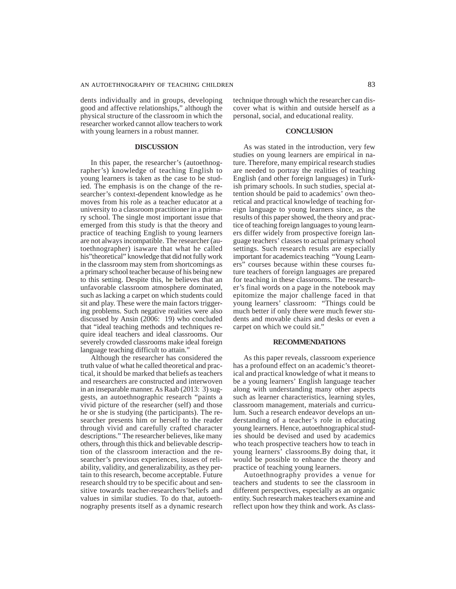dents individually and in groups, developing good and affective relationships," although the physical structure of the classroom in which the researcher worked cannot allow teachers to work with young learners in a robust manner.

#### **DISCUSSION**

In this paper, the researcher's (autoethnographer's) knowledge of teaching English to young learners is taken as the case to be studied. The emphasis is on the change of the researcher's context-dependent knowledge as he moves from his role as a teacher educator at a university to a classroom practitioner in a primary school. The single most important issue that emerged from this study is that the theory and practice of teaching English to young learners are not always incompatible. The researcher (autoethnographer) isaware that what he called his"theoretical" knowledge that did not fully work in the classroom may stem from shortcomings as a primary school teacher because of his being new to this setting. Despite this, he believes that an unfavorable classroom atmosphere dominated, such as lacking a carpet on which students could sit and play. These were the main factors triggering problems. Such negative realities were also discussed by Ansin (2006: 19) who concluded that "ideal teaching methods and techniques require ideal teachers and ideal classrooms. Our severely crowded classrooms make ideal foreign language teaching difficult to attain."

Although the researcher has considered the truth value of what he called theoretical and practical, it should be marked that beliefs as teachers and researchers are constructed and interwoven in an inseparable manner. As Raab (2013: 3) suggests, an autoethnographic research "paints a vivid picture of the researcher (self) and those he or she is studying (the participants). The researcher presents him or herself to the reader through vivid and carefully crafted character descriptions." The researcher believes, like many others, through this thick and believable description of the classroom interaction and the researcher's previous experiences, issues of reliability, validity, and generalizability, as they pertain to this research, become acceptable. Future research should try to be specific about and sensitive towards teacher-researchers'beliefs and values in similar studies. To do that, autoethnography presents itself as a dynamic research

technique through which the researcher can discover what is within and outside herself as a personal, social, and educational reality.

#### **CONCLUSION**

As was stated in the introduction, very few studies on young learners are empirical in nature. Therefore, many empirical research studies are needed to portray the realities of teaching English (and other foreign languages) in Turkish primary schools. In such studies, special attention should be paid to academics' own theoretical and practical knowledge of teaching foreign language to young learners since, as the results of this paper showed, the theory and practice of teaching foreign languages to young learners differ widely from prospective foreign language teachers' classes to actual primary school settings. Such research results are especially important for academics teaching "Young Learners" courses because within these courses future teachers of foreign languages are prepared for teaching in these classrooms. The researcher's final words on a page in the notebook may epitomize the major challenge faced in that young learners' classroom: "Things could be much better if only there were much fewer students and movable chairs and desks or even a carpet on which we could sit."

#### **RECOMMENDATIONS**

As this paper reveals, classroom experience has a profound effect on an academic's theoretical and practical knowledge of what it means to be a young learners' English language teacher along with understanding many other aspects such as learner characteristics, learning styles, classroom management, materials and curriculum. Such a research endeavor develops an understanding of a teacher's role in educating young learners. Hence, autoethnographical studies should be devised and used by academics who teach prospective teachers how to teach in young learners' classrooms.By doing that, it would be possible to enhance the theory and practice of teaching young learners.

Autoethnography provides a venue for teachers and students to see the classroom in different perspectives, especially as an organic entity. Such research makes teachers examine and reflect upon how they think and work. As class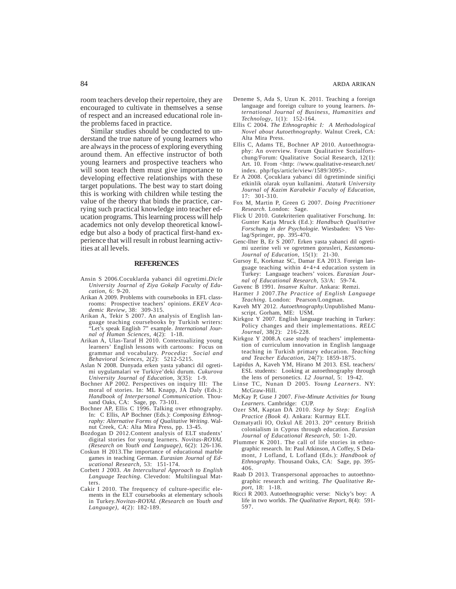room teachers develop their repertoire, they are encouraged to cultivate in themselves a sense of respect and an increased educational role inthe problems faced in practice.

Similar studies should be conducted to understand the true nature of young learners who are always in the process of exploring everything around them. An effective instructor of both young learners and prospective teachers who will soon teach them must give importance to developing effective relationships with these target populations. The best way to start doing this is working with children while testing the value of the theory that binds the practice, carrying such practical knowledge into teacher education programs. This learning process will help academics not only develop theoretical knowledge but also a body of practical first-hand experience that will result in robust learning activities at all levels.

#### **REFERENCES**

- Ansin S 2006.Cocuklarda yabanci dil ogretimi.*Dicle University Journal of Ziya Gokalp Faculty of Education*, 6: 9-20.
- Arikan A 2009. Problems with coursebooks in EFL classrooms: Prospective teachers' opinions. *EKEV Academic Review*, 38: 309-315.
- Arikan A, Tekir S 2007. An analysis of English language teaching coursebooks by Turkish writers: "Let's speak English 7" example. *International Journal of Human Sciences*, 4(2): 1-18.
- Arikan A, Ulas-Taraf H 2010. Contextualizing young learners' English lessons with cartoons: Focus on grammar and vocabulary. *Procedia: Social and Behavioral Sciences*, 2(2): 5212-5215.
- Aslan N 2008. Dunyada erken yasta yabanci dil ogretimi uygulamalari ve Turkiye'deki durum. *Cukurova University Journal of Education*, 3(35): 1-9.
- Bochner AP 2002. Perspectives on inquiry III: The moral of stories. In: ML Knapp, JA Daly (Eds.): *Handbook of Interpersonal Communication*. Thousand Oaks, CA: Sage, pp. 73-101.
- Bochner AP, Ellis C 1996. Talking over ethnography. In: C Ellis, AP Bochner (Eds.): *Composing Ethnography: Alternative Forms of Qualitative Writing*. Walnut Creek, CA: Alta Mira Press, pp. 13-45.
- Bozdogan D 2012.Content analysis of ELT students' digital stories for young learners. *Novitas-ROYAL (Research on Youth and Language),* 6(2): 126-136.
- Coskun H 2013.The importance of educational marble games in teaching German. *Eurasian Journal of Educational Research*, 53: 151-174.
- Corbett J 2003. *An Intercultural Approach to English Language Teaching*. Clevedon: Multilingual Matters.
- Cakir I 2010. The frequency of culture-specific elements in the ELT coursebooks at elementary schools in Turkey.*Novitas-ROYAL (Research on Youth and Language),* 4(2): 182-189.
- Deneme S, Ada S, Uzun K. 2011. Teaching a foreign language and foreign culture to young learners. *International Journal of Business, Humanities and Technology*, 1(1): 152-164.
- Ellis C 2004. *The Ethnographic I: A Methodological Novel about Autoethnography*. Walnut Creek, CA: Alta Mira Press.
- Ellis C, Adams TE, Bochner AP 2010. Autoethnography: An overview. Forum Qualitative Sozialforschung/Forum: Qualitative Social Research, 12(1): Art. 10. From <http: //www.qualitative-research.net/ index. php/fqs/article/view/1589/3095>.
- Er A 2008. Çocuklara yabanci dil ögretiminde sinifiçi etkinlik olarak oyun kullanimi. *Ataturk University Journal of Kazim Karabekir Faculty of Education*, 17: 301-310.
- Fox M, Martin P, Green G 2007. *Doing Practitioner Research*. London: Sage.
- Flick U 2010. Gutekriterien qualitativer Forschung. In: Gunter Katja Mruck (Ed.): *Handbuch Qualitative Forschung in der Psychologie*. Wiesbaden: VS Verlag/Springer, pp. 395-470.
- Genc-Ilter B, Er S 2007. Erken yasta yabanci dil ogretimi uzerine veli ve ogretmen gorusleri, *Kastamonu-Journal of Education*, 15(1): 21-30.
- Gursoy E, Korkmaz SC, Damar EA 2013. Foreign language teaching within 4+4+4 education system in Turkey: Language teachers' voices. *Eurasian Journal of Educational Research*, 53/A: 59-74.
- Guvenc B 1991. *Insanve Kultur*. Ankara: Remzi.
- Harmer J 2007.*The Practice of English Language Teaching*. London: Pearson/Longman.
- Kaveh MY 2012. *Autoethnography.*Unpublished Manuscript. Gorham, ME: USM.
- Kirkgoz Y 2007. English language teaching in Turkey: Policy changes and their implementations. *RELC Journal*, 38(2): 216-228.
- Kirkgoz Y 2008.A case study of teachers' implementation of curriculum innovation in English language teaching in Turkish primary education. *Teaching and Teacher Education*, 24(7): 1859-1875.
- Lapidus A, Kaveh YM, Hirano M 2013. ESL teachers/ ESL students: Looking at autoethnography through the lens of personetics. *L2 Journal*, 5: 19-42.
- Linse TC, Nunan D 2005. *Young Learners*. NY: McGraw-Hill.
- McKay P, Guse J 2007. *Five-Minute Activities for Young Learners*. Cambridge: CUP.
- Ozer SM, Kaptan DA 2010. *Step by Step: English Practice (Book 4)*. Ankara: Kurmay ELT.
- Ozmatyatli IO, Ozkul AE 2013. 20<sup>th</sup> century British colonialism in Cyprus through education. *Eurasian Journal of Educational Research*, 50: 1-20.
- Plummer K 2001. The call of life stories in ethnographic research. In: Paul Atkinson, A Coffey, S Delamont, J Lofland, L Lofland (Eds.): *Handbook of Ethnography*. Thousand Oaks, CA: Sage, pp. 395- 406.
- Raab D 2013. Transpersonal approaches to autoethnographic research and writing. *The Qualitative Report*, 18: 1-18.
- Ricci R 2003. Autoethnographic verse: Nicky's boy: A life in two worlds. *The Qualitative Report*, 8(4): 591- 597.